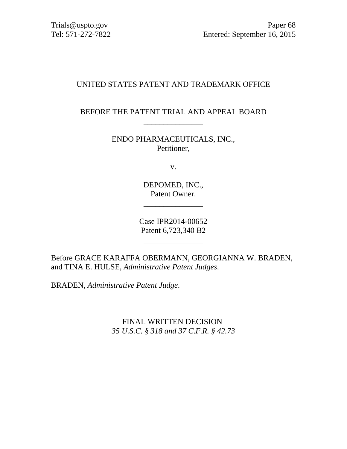# UNITED STATES PATENT AND TRADEMARK OFFICE \_\_\_\_\_\_\_\_\_\_\_\_\_\_\_

BEFORE THE PATENT TRIAL AND APPEAL BOARD \_\_\_\_\_\_\_\_\_\_\_\_\_\_\_

> ENDO PHARMACEUTICALS, INC., Petitioner,

> > v.

DEPOMED, INC., Patent Owner.

\_\_\_\_\_\_\_\_\_\_\_\_\_\_\_

Case IPR2014-00652 Patent 6,723,340 B2

 $\overline{\phantom{a}}$  , where the contract of the contract of the contract of the contract of the contract of the contract of the contract of the contract of the contract of the contract of the contract of the contract of the contr

Before GRACE KARAFFA OBERMANN, GEORGIANNA W. BRADEN, and TINA E. HULSE, *Administrative Patent Judges*.

BRADEN, *Administrative Patent Judge*.

FINAL WRITTEN DECISION *35 U.S.C. § 318 and 37 C.F.R. § 42.73*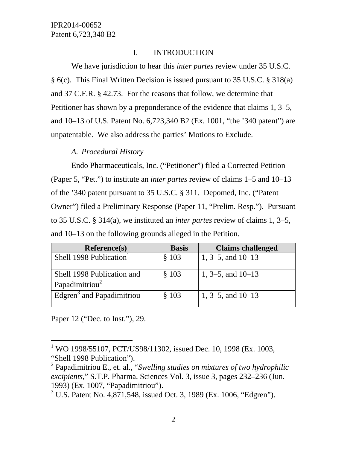# I. INTRODUCTION

We have jurisdiction to hear this *inter partes* review under 35 U.S.C. § 6(c). This Final Written Decision is issued pursuant to 35 U.S.C. § 318(a) and 37 C.F.R. § 42.73. For the reasons that follow, we determine that Petitioner has shown by a preponderance of the evidence that claims 1, 3–5, and 10–13 of U.S. Patent No. 6,723,340 B2 (Ex. 1001, "the '340 patent") are unpatentable. We also address the parties' Motions to Exclude.

*A. Procedural History* 

Endo Pharmaceuticals, Inc. ("Petitioner") filed a Corrected Petition (Paper 5, "Pet.") to institute an *inter partes* review of claims 1–5 and 10–13 of the '340 patent pursuant to 35 U.S.C. § 311. Depomed, Inc. ("Patent Owner") filed a Preliminary Response (Paper 11, "Prelim. Resp."). Pursuant to 35 U.S.C. § 314(a), we instituted an *inter partes* review of claims 1, 3–5, and 10–13 on the following grounds alleged in the Petition.

| <b>Reference(s)</b>                   | <b>Basis</b> | <b>Claims challenged</b> |
|---------------------------------------|--------------|--------------------------|
| Shell 1998 Publication                | \$103        | 1, 3–5, and $10-13$      |
| Shell 1998 Publication and            | \$103        | 1, $3-5$ , and $10-13$   |
| Papadimitriou <sup>2</sup>            |              |                          |
| Edgren <sup>3</sup> and Papadimitriou | \$103        | 1, $3-5$ , and $10-13$   |

Paper 12 ("Dec. to Inst."), 29.

 $\overline{a}$ 

<sup>&</sup>lt;sup>1</sup> WO 1998/55107, PCT/US98/11302, issued Dec. 10, 1998 (Ex. 1003, "Shell 1998 Publication").

<sup>2</sup> Papadimitriou E., et. al., "*Swelling studies on mixtures of two hydrophilic excipients*," S.T.P. Pharma. Sciences Vol. 3, issue 3, pages 232–236 (Jun. 1993) (Ex. 1007, "Papadimitriou").

<sup>&</sup>lt;sup>3</sup> U.S. Patent No. 4,871,548, issued Oct. 3, 1989 (Ex. 1006, "Edgren").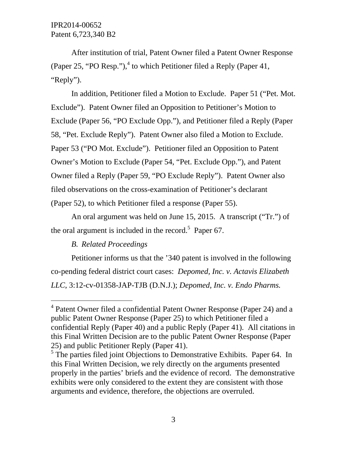After institution of trial, Patent Owner filed a Patent Owner Response (Paper 25, "PO Resp."),<sup>4</sup> to which Petitioner filed a Reply (Paper 41, "Reply").

In addition, Petitioner filed a Motion to Exclude. Paper 51 ("Pet. Mot. Exclude"). Patent Owner filed an Opposition to Petitioner's Motion to Exclude (Paper 56, "PO Exclude Opp."), and Petitioner filed a Reply (Paper 58, "Pet. Exclude Reply"). Patent Owner also filed a Motion to Exclude. Paper 53 ("PO Mot. Exclude"). Petitioner filed an Opposition to Patent Owner's Motion to Exclude (Paper 54, "Pet. Exclude Opp."), and Patent Owner filed a Reply (Paper 59, "PO Exclude Reply"). Patent Owner also filed observations on the cross-examination of Petitioner's declarant (Paper 52), to which Petitioner filed a response (Paper 55).

An oral argument was held on June 15, 2015. A transcript ("Tr.") of the oral argument is included in the record.<sup>5</sup> Paper 67.

# *B. Related Proceedings*

-

Petitioner informs us that the '340 patent is involved in the following co-pending federal district court cases: *Depomed, Inc. v. Actavis Elizabeth LLC*, 3:12-cv-01358-JAP-TJB (D.N.J.); *Depomed, Inc. v. Endo Pharms.* 

<sup>&</sup>lt;sup>4</sup> Patent Owner filed a confidential Patent Owner Response (Paper 24) and a public Patent Owner Response (Paper 25) to which Petitioner filed a confidential Reply (Paper 40) and a public Reply (Paper 41). All citations in this Final Written Decision are to the public Patent Owner Response (Paper 25) and public Petitioner Reply (Paper 41).

<sup>&</sup>lt;sup>5</sup> The parties filed joint Objections to Demonstrative Exhibits. Paper 64. In this Final Written Decision, we rely directly on the arguments presented properly in the parties' briefs and the evidence of record. The demonstrative exhibits were only considered to the extent they are consistent with those arguments and evidence, therefore, the objections are overruled.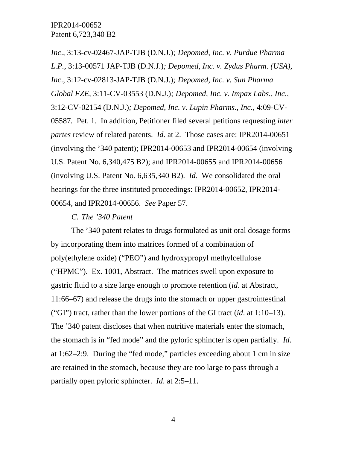*Inc*., 3:13-cv-02467-JAP-TJB (D.N.J.)*; Depomed, Inc. v. Purdue Pharma L.P.*, 3:13-00571 JAP-TJB (D.N.J.)*; Depomed, Inc. v. Zydus Pharm. (USA), Inc*., 3:12-cv-02813-JAP-TJB (D.N.J.)*; Depomed, Inc. v. Sun Pharma Global FZE*, 3:11-CV-03553 (D.N.J.)*; Depomed, Inc. v. Impax Labs., Inc.*, 3:12-CV-02154 (D.N.J.)*; Depomed, Inc. v. Lupin Pharms., Inc.*, 4:09-CV-05587*.* Pet. 1. In addition, Petitioner filed several petitions requesting *inter partes* review of related patents. *Id*. at 2. Those cases are: IPR2014-00651 (involving the '340 patent); IPR2014-00653 and IPR2014-00654 (involving U.S. Patent No. 6,340,475 B2); and IPR2014-00655 and IPR2014-00656 (involving U.S. Patent No. 6,635,340 B2). *Id.* We consolidated the oral hearings for the three instituted proceedings: IPR2014-00652, IPR2014- 00654, and IPR2014-00656. *See* Paper 57.

#### *C. The '340 Patent*

The '340 patent relates to drugs formulated as unit oral dosage forms by incorporating them into matrices formed of a combination of poly(ethylene oxide) ("PEO") and hydroxypropyl methylcellulose ("HPMC"). Ex. 1001, Abstract. The matrices swell upon exposure to gastric fluid to a size large enough to promote retention (*id*. at Abstract, 11:66–67) and release the drugs into the stomach or upper gastrointestinal ("GI") tract, rather than the lower portions of the GI tract (*id*. at 1:10–13). The '340 patent discloses that when nutritive materials enter the stomach, the stomach is in "fed mode" and the pyloric sphincter is open partially. *Id*. at 1:62–2:9. During the "fed mode," particles exceeding about 1 cm in size are retained in the stomach, because they are too large to pass through a partially open pyloric sphincter. *Id*. at 2:5–11.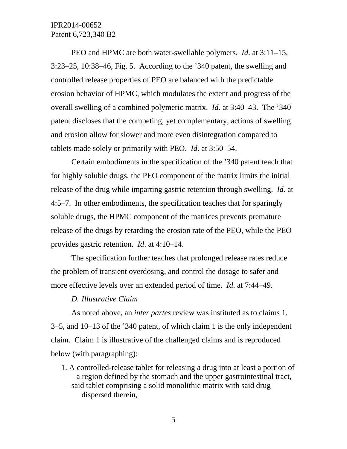PEO and HPMC are both water-swellable polymers. *Id*. at 3:11–15, 3:23–25, 10:38–46, Fig. 5. According to the '340 patent, the swelling and controlled release properties of PEO are balanced with the predictable erosion behavior of HPMC, which modulates the extent and progress of the overall swelling of a combined polymeric matrix. *Id*. at 3:40–43. The '340 patent discloses that the competing, yet complementary, actions of swelling and erosion allow for slower and more even disintegration compared to tablets made solely or primarily with PEO. *Id*. at 3:50–54.

Certain embodiments in the specification of the '340 patent teach that for highly soluble drugs, the PEO component of the matrix limits the initial release of the drug while imparting gastric retention through swelling. *Id*. at 4:5–7. In other embodiments, the specification teaches that for sparingly soluble drugs, the HPMC component of the matrices prevents premature release of the drugs by retarding the erosion rate of the PEO, while the PEO provides gastric retention. *Id*. at 4:10–14.

The specification further teaches that prolonged release rates reduce the problem of transient overdosing, and control the dosage to safer and more effective levels over an extended period of time. *Id*. at 7:44–49.

#### *D. Illustrative Claim*

As noted above, an *inter partes* review was instituted as to claims 1, 3–5, and 10–13 of the '340 patent, of which claim 1 is the only independent claim. Claim 1 is illustrative of the challenged claims and is reproduced below (with paragraphing):

1. A controlled-release tablet for releasing a drug into at least a portion of a region defined by the stomach and the upper gastrointestinal tract, said tablet comprising a solid monolithic matrix with said drug dispersed therein,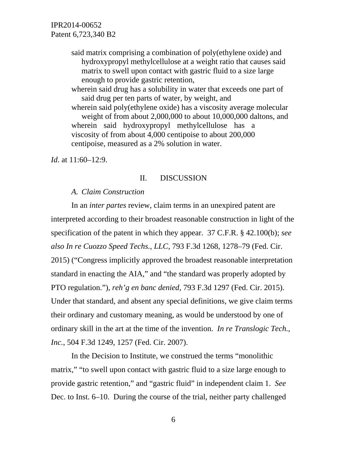> said matrix comprising a combination of poly(ethylene oxide) and hydroxypropyl methylcellulose at a weight ratio that causes said matrix to swell upon contact with gastric fluid to a size large enough to provide gastric retention,

wherein said drug has a solubility in water that exceeds one part of said drug per ten parts of water, by weight, and wherein said poly(ethylene oxide) has a viscosity average molecular weight of from about 2,000,000 to about 10,000,000 daltons, and wherein said hydroxypropyl methylcellulose has a viscosity of from about 4,000 centipoise to about 200,000 centipoise, measured as a 2% solution in water.

*Id.* at 11:60–12:9.

### II. DISCUSSION

### *A. Claim Construction*

In an *inter partes* review, claim terms in an unexpired patent are interpreted according to their broadest reasonable construction in light of the specification of the patent in which they appear. 37 C.F.R. § 42.100(b); *see also In re Cuozzo Speed Techs., LLC*, 793 F.3d 1268, 1278–79 (Fed. Cir. 2015) ("Congress implicitly approved the broadest reasonable interpretation standard in enacting the AIA," and "the standard was properly adopted by PTO regulation."), *reh'g en banc denied*, 793 F.3d 1297 (Fed. Cir. 2015). Under that standard, and absent any special definitions, we give claim terms their ordinary and customary meaning, as would be understood by one of ordinary skill in the art at the time of the invention. *In re Translogic Tech., Inc.*, 504 F.3d 1249, 1257 (Fed. Cir. 2007).

In the Decision to Institute, we construed the terms "monolithic matrix," "to swell upon contact with gastric fluid to a size large enough to provide gastric retention," and "gastric fluid" in independent claim 1. *See* Dec. to Inst. 6–10. During the course of the trial, neither party challenged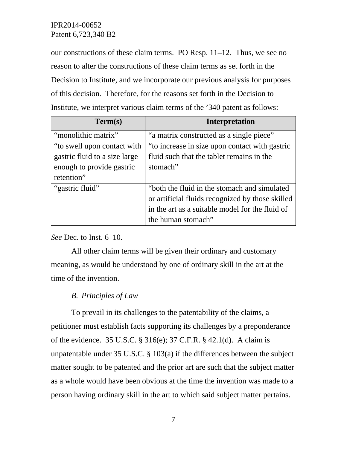our constructions of these claim terms. PO Resp. 11–12. Thus, we see no reason to alter the constructions of these claim terms as set forth in the Decision to Institute, and we incorporate our previous analysis for purposes of this decision. Therefore, for the reasons set forth in the Decision to Institute, we interpret various claim terms of the '340 patent as follows:

| Term(s)                       | <b>Interpretation</b>                            |  |
|-------------------------------|--------------------------------------------------|--|
| "monolithic matrix"           | "a matrix constructed as a single piece"         |  |
| "to swell upon contact with"  | "to increase in size upon contact with gastric   |  |
| gastric fluid to a size large | fluid such that the tablet remains in the        |  |
| enough to provide gastric     | stomach"                                         |  |
| retention"                    |                                                  |  |
| "gastric fluid"               | "both the fluid in the stomach and simulated     |  |
|                               | or artificial fluids recognized by those skilled |  |
|                               | in the art as a suitable model for the fluid of  |  |
|                               | the human stomach"                               |  |

*See* Dec. to Inst. 6–10.

All other claim terms will be given their ordinary and customary meaning, as would be understood by one of ordinary skill in the art at the time of the invention.

# *B. Principles of Law*

To prevail in its challenges to the patentability of the claims, a petitioner must establish facts supporting its challenges by a preponderance of the evidence. 35 U.S.C. § 316(e); 37 C.F.R. § 42.1(d). A claim is unpatentable under 35 U.S.C. § 103(a) if the differences between the subject matter sought to be patented and the prior art are such that the subject matter as a whole would have been obvious at the time the invention was made to a person having ordinary skill in the art to which said subject matter pertains.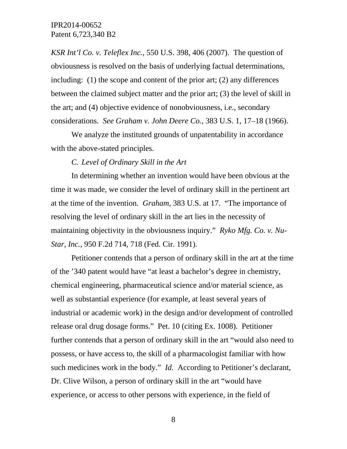*KSR Int'l Co. v. Teleflex Inc.*, 550 U.S. 398, 406 (2007). The question of obviousness is resolved on the basis of underlying factual determinations, including: (1) the scope and content of the prior art; (2) any differences between the claimed subject matter and the prior art; (3) the level of skill in the art; and (4) objective evidence of nonobviousness, i.e., secondary considerations. *See Graham v. John Deere Co.*, 383 U.S. 1, 17–18 (1966).

We analyze the instituted grounds of unpatentability in accordance with the above-stated principles.

#### *C. Level of Ordinary Skill in the Art*

In determining whether an invention would have been obvious at the time it was made, we consider the level of ordinary skill in the pertinent art at the time of the invention. *Graham*, 383 U.S. at 17. "The importance of resolving the level of ordinary skill in the art lies in the necessity of maintaining objectivity in the obviousness inquiry." *Ryko Mfg. Co. v. Nu-Star, Inc.*, 950 F.2d 714, 718 (Fed. Cir. 1991)*.* 

Petitioner contends that a person of ordinary skill in the art at the time of the '340 patent would have "at least a bachelor's degree in chemistry, chemical engineering, pharmaceutical science and/or material science, as well as substantial experience (for example, at least several years of industrial or academic work) in the design and/or development of controlled release oral drug dosage forms." Pet. 10 (citing Ex. 1008). Petitioner further contends that a person of ordinary skill in the art "would also need to possess, or have access to, the skill of a pharmacologist familiar with how such medicines work in the body." *Id.* According to Petitioner's declarant, Dr. Clive Wilson, a person of ordinary skill in the art "would have experience, or access to other persons with experience, in the field of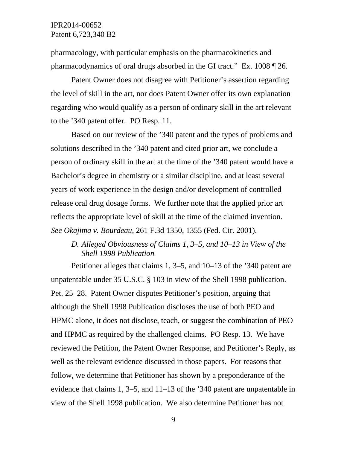pharmacology, with particular emphasis on the pharmacokinetics and pharmacodynamics of oral drugs absorbed in the GI tract." Ex. 1008 ¶ 26.

Patent Owner does not disagree with Petitioner's assertion regarding the level of skill in the art, nor does Patent Owner offer its own explanation regarding who would qualify as a person of ordinary skill in the art relevant to the '340 patent offer. PO Resp. 11.

Based on our review of the '340 patent and the types of problems and solutions described in the '340 patent and cited prior art, we conclude a person of ordinary skill in the art at the time of the '340 patent would have a Bachelor's degree in chemistry or a similar discipline, and at least several years of work experience in the design and/or development of controlled release oral drug dosage forms. We further note that the applied prior art reflects the appropriate level of skill at the time of the claimed invention. *See Okajima v. Bourdeau,* 261 F.3d 1350, 1355 (Fed. Cir. 2001).

# *D. Alleged Obviousness of Claims 1, 3–5, and 10–13 in View of the Shell 1998 Publication*

Petitioner alleges that claims 1, 3–5, and 10–13 of the '340 patent are unpatentable under 35 U.S.C. § 103 in view of the Shell 1998 publication. Pet. 25–28. Patent Owner disputes Petitioner's position, arguing that although the Shell 1998 Publication discloses the use of both PEO and HPMC alone, it does not disclose, teach, or suggest the combination of PEO and HPMC as required by the challenged claims. PO Resp. 13. We have reviewed the Petition, the Patent Owner Response, and Petitioner's Reply, as well as the relevant evidence discussed in those papers. For reasons that follow, we determine that Petitioner has shown by a preponderance of the evidence that claims 1, 3–5, and 11–13 of the '340 patent are unpatentable in view of the Shell 1998 publication. We also determine Petitioner has not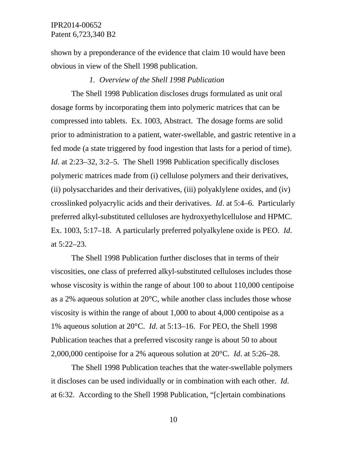shown by a preponderance of the evidence that claim 10 would have been obvious in view of the Shell 1998 publication.

#### *1. Overview of the Shell 1998 Publication*

The Shell 1998 Publication discloses drugs formulated as unit oral dosage forms by incorporating them into polymeric matrices that can be compressed into tablets. Ex. 1003, Abstract. The dosage forms are solid prior to administration to a patient, water-swellable, and gastric retentive in a fed mode (a state triggered by food ingestion that lasts for a period of time). *Id*. at 2:23–32, 3:2–5. The Shell 1998 Publication specifically discloses polymeric matrices made from (i) cellulose polymers and their derivatives, (ii) polysaccharides and their derivatives, (iii) polyaklylene oxides, and (iv) crosslinked polyacrylic acids and their derivatives. *Id*. at 5:4–6. Particularly preferred alkyl-substituted celluloses are hydroxyethylcellulose and HPMC. Ex. 1003, 5:17–18. A particularly preferred polyalkylene oxide is PEO. *Id*. at 5:22–23.

The Shell 1998 Publication further discloses that in terms of their viscosities, one class of preferred alkyl-substituted celluloses includes those whose viscosity is within the range of about 100 to about 110,000 centipoise as a 2% aqueous solution at 20°C, while another class includes those whose viscosity is within the range of about 1,000 to about 4,000 centipoise as a 1% aqueous solution at 20°C. *Id*. at 5:13–16. For PEO, the Shell 1998 Publication teaches that a preferred viscosity range is about 50 to about 2,000,000 centipoise for a 2% aqueous solution at 20°C. *Id*. at 5:26–28.

The Shell 1998 Publication teaches that the water-swellable polymers it discloses can be used individually or in combination with each other. *Id*. at 6:32. According to the Shell 1998 Publication, "[c]ertain combinations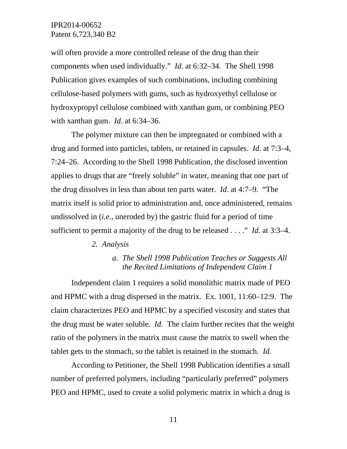will often provide a more controlled release of the drug than their components when used individually." *Id*. at 6:32–34. The Shell 1998 Publication gives examples of such combinations, including combining cellulose-based polymers with gums, such as hydroxyethyl cellulose or hydroxypropyl cellulose combined with xanthan gum, or combining PEO with xanthan gum. *Id*. at 6:34–36.

The polymer mixture can then be impregnated or combined with a drug and formed into particles, tablets, or retained in capsules. *Id*. at 7:3–4, 7:24–26. According to the Shell 1998 Publication, the disclosed invention applies to drugs that are "freely soluble" in water, meaning that one part of the drug dissolves in less than about ten parts water. *Id*. at 4:7–9. "The matrix itself is solid prior to administration and, once administered, remains undissolved in (*i.e*., uneroded by) the gastric fluid for a period of time sufficient to permit a majority of the drug to be released . . . ." *Id*. at 3:3–4.

#### *2. Analysis*

### *a. The Shell 1998 Publication Teaches or Suggests All the Recited Limitations of Independent Claim 1*

Independent claim 1 requires a solid monolithic matrix made of PEO and HPMC with a drug dispersed in the matrix. Ex. 1001, 11:60–12:9. The claim characterizes PEO and HPMC by a specified viscosity and states that the drug must be water soluble. *Id.* The claim further recites that the weight ratio of the polymers in the matrix must cause the matrix to swell when the tablet gets to the stomach, so the tablet is retained in the stomach. *Id.*

According to Petitioner, the Shell 1998 Publication identifies a small number of preferred polymers, including "particularly preferred" polymers PEO and HPMC, used to create a solid polymeric matrix in which a drug is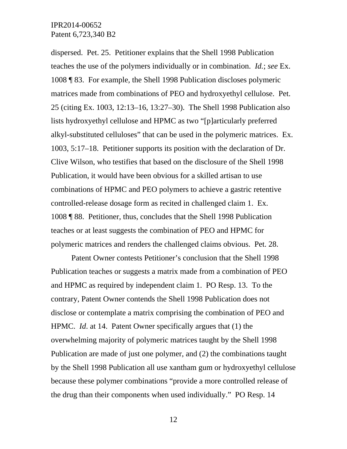dispersed. Pet. 25. Petitioner explains that the Shell 1998 Publication teaches the use of the polymers individually or in combination. *Id.*; *see* Ex. 1008 ¶ 83. For example, the Shell 1998 Publication discloses polymeric matrices made from combinations of PEO and hydroxyethyl cellulose. Pet. 25 (citing Ex. 1003, 12:13–16, 13:27–30). The Shell 1998 Publication also lists hydroxyethyl cellulose and HPMC as two "[p]articularly preferred alkyl-substituted celluloses" that can be used in the polymeric matrices. Ex. 1003, 5:17–18. Petitioner supports its position with the declaration of Dr. Clive Wilson, who testifies that based on the disclosure of the Shell 1998 Publication, it would have been obvious for a skilled artisan to use combinations of HPMC and PEO polymers to achieve a gastric retentive controlled-release dosage form as recited in challenged claim 1. Ex. 1008 ¶ 88. Petitioner, thus, concludes that the Shell 1998 Publication teaches or at least suggests the combination of PEO and HPMC for polymeric matrices and renders the challenged claims obvious. Pet. 28.

Patent Owner contests Petitioner's conclusion that the Shell 1998 Publication teaches or suggests a matrix made from a combination of PEO and HPMC as required by independent claim 1. PO Resp. 13. To the contrary, Patent Owner contends the Shell 1998 Publication does not disclose or contemplate a matrix comprising the combination of PEO and HPMC. *Id*. at 14. Patent Owner specifically argues that (1) the overwhelming majority of polymeric matrices taught by the Shell 1998 Publication are made of just one polymer, and (2) the combinations taught by the Shell 1998 Publication all use xantham gum or hydroxyethyl cellulose because these polymer combinations "provide a more controlled release of the drug than their components when used individually." PO Resp. 14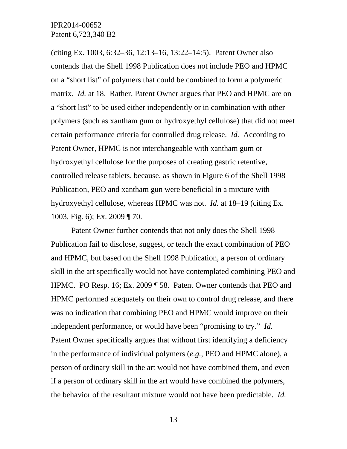(citing Ex. 1003, 6:32–36, 12:13–16, 13:22–14:5). Patent Owner also contends that the Shell 1998 Publication does not include PEO and HPMC on a "short list" of polymers that could be combined to form a polymeric matrix. *Id.* at 18. Rather, Patent Owner argues that PEO and HPMC are on a "short list" to be used either independently or in combination with other polymers (such as xantham gum or hydroxyethyl cellulose) that did not meet certain performance criteria for controlled drug release. *Id.* According to Patent Owner, HPMC is not interchangeable with xantham gum or hydroxyethyl cellulose for the purposes of creating gastric retentive, controlled release tablets, because, as shown in Figure 6 of the Shell 1998 Publication, PEO and xantham gun were beneficial in a mixture with hydroxyethyl cellulose, whereas HPMC was not. *Id.* at 18–19 (citing Ex. 1003, Fig. 6); Ex. 2009 ¶ 70.

Patent Owner further contends that not only does the Shell 1998 Publication fail to disclose, suggest, or teach the exact combination of PEO and HPMC, but based on the Shell 1998 Publication, a person of ordinary skill in the art specifically would not have contemplated combining PEO and HPMC. PO Resp. 16; Ex. 2009 ¶ 58. Patent Owner contends that PEO and HPMC performed adequately on their own to control drug release, and there was no indication that combining PEO and HPMC would improve on their independent performance, or would have been "promising to try." *Id.* Patent Owner specifically argues that without first identifying a deficiency in the performance of individual polymers (*e.g.*, PEO and HPMC alone), a person of ordinary skill in the art would not have combined them, and even if a person of ordinary skill in the art would have combined the polymers, the behavior of the resultant mixture would not have been predictable. *Id.*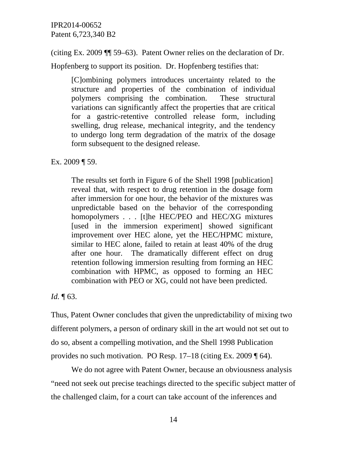(citing Ex. 2009 ¶¶ 59–63). Patent Owner relies on the declaration of Dr.

Hopfenberg to support its position. Dr. Hopfenberg testifies that:

[C]ombining polymers introduces uncertainty related to the structure and properties of the combination of individual polymers comprising the combination. These structural variations can significantly affect the properties that are critical for a gastric-retentive controlled release form, including swelling, drug release, mechanical integrity, and the tendency to undergo long term degradation of the matrix of the dosage form subsequent to the designed release.

Ex. 2009 ¶ 59.

The results set forth in Figure 6 of the Shell 1998 [publication] reveal that, with respect to drug retention in the dosage form after immersion for one hour, the behavior of the mixtures was unpredictable based on the behavior of the corresponding homopolymers . . . [t]he HEC/PEO and HEC/XG mixtures [used in the immersion experiment] showed significant improvement over HEC alone, yet the HEC/HPMC mixture, similar to HEC alone, failed to retain at least 40% of the drug after one hour. The dramatically different effect on drug retention following immersion resulting from forming an HEC combination with HPMC, as opposed to forming an HEC combination with PEO or XG, could not have been predicted.

*Id.* ¶ 63.

Thus, Patent Owner concludes that given the unpredictability of mixing two different polymers, a person of ordinary skill in the art would not set out to do so, absent a compelling motivation, and the Shell 1998 Publication provides no such motivation. PO Resp. 17–18 (citing Ex. 2009 ¶ 64).

We do not agree with Patent Owner, because an obviousness analysis "need not seek out precise teachings directed to the specific subject matter of the challenged claim, for a court can take account of the inferences and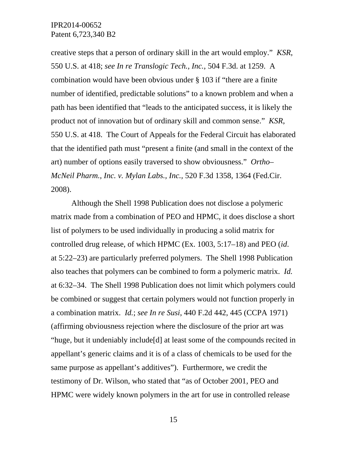creative steps that a person of ordinary skill in the art would employ." *KSR*, 550 U.S. at 418; *see In re Translogic Tech., Inc.*, 504 F.3d. at 1259.A combination would have been obvious under § 103 if "there are a finite number of identified, predictable solutions" to a known problem and when a path has been identified that "leads to the anticipated success, it is likely the product not of innovation but of ordinary skill and common sense." *KSR*, 550 U.S. at 418. The Court of Appeals for the Federal Circuit has elaborated that the identified path must "present a finite (and small in the context of the art) number of options easily traversed to show obviousness." *Ortho– McNeil Pharm., Inc. v. Mylan Labs., Inc.,* 520 F.3d 1358, 1364 (Fed.Cir. 2008).

Although the Shell 1998 Publication does not disclose a polymeric matrix made from a combination of PEO and HPMC, it does disclose a short list of polymers to be used individually in producing a solid matrix for controlled drug release, of which HPMC (Ex. 1003, 5:17–18) and PEO (*id*. at 5:22–23) are particularly preferred polymers. The Shell 1998 Publication also teaches that polymers can be combined to form a polymeric matrix. *Id.* at 6:32–34. The Shell 1998 Publication does not limit which polymers could be combined or suggest that certain polymers would not function properly in a combination matrix. *Id.*; *see In re Susi*, 440 F.2d 442, 445 (CCPA 1971) (affirming obviousness rejection where the disclosure of the prior art was "huge, but it undeniably include[d] at least some of the compounds recited in appellant's generic claims and it is of a class of chemicals to be used for the same purpose as appellant's additives"). Furthermore, we credit the testimony of Dr. Wilson, who stated that "as of October 2001, PEO and HPMC were widely known polymers in the art for use in controlled release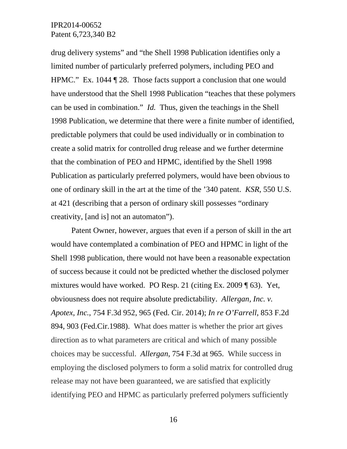drug delivery systems" and "the Shell 1998 Publication identifies only a limited number of particularly preferred polymers, including PEO and HPMC." Ex. 1044 ¶ 28. Those facts support a conclusion that one would have understood that the Shell 1998 Publication "teaches that these polymers can be used in combination." *Id.* Thus, given the teachings in the Shell 1998 Publication, we determine that there were a finite number of identified, predictable polymers that could be used individually or in combination to create a solid matrix for controlled drug release and we further determine that the combination of PEO and HPMC, identified by the Shell 1998 Publication as particularly preferred polymers, would have been obvious to one of ordinary skill in the art at the time of the '340 patent. *KSR*, 550 U.S. at 421 (describing that a person of ordinary skill possesses "ordinary creativity, [and is] not an automaton").

Patent Owner, however, argues that even if a person of skill in the art would have contemplated a combination of PEO and HPMC in light of the Shell 1998 publication, there would not have been a reasonable expectation of success because it could not be predicted whether the disclosed polymer mixtures would have worked. PO Resp. 21 (citing Ex. 2009 ¶ 63). Yet, obviousness does not require absolute predictability. *Allergan, Inc. v. Apotex, Inc.*, 754 F.3d 952, 965 (Fed. Cir. 2014); *In re O'Farrell*, 853 F.2d 894, 903 (Fed.Cir.1988). What does matter is whether the prior art gives direction as to what parameters are critical and which of many possible choices may be successful. *Allergan*, 754 F.3d at 965. While success in employing the disclosed polymers to form a solid matrix for controlled drug release may not have been guaranteed, we are satisfied that explicitly identifying PEO and HPMC as particularly preferred polymers sufficiently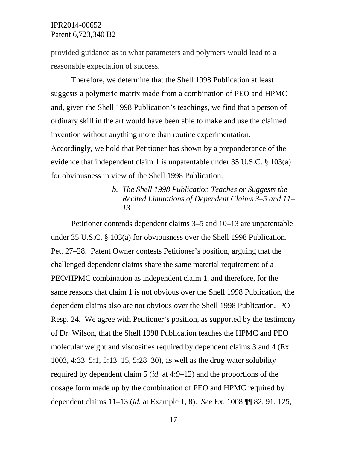provided guidance as to what parameters and polymers would lead to a reasonable expectation of success.

Therefore, we determine that the Shell 1998 Publication at least suggests a polymeric matrix made from a combination of PEO and HPMC and, given the Shell 1998 Publication's teachings, we find that a person of ordinary skill in the art would have been able to make and use the claimed invention without anything more than routine experimentation.

Accordingly, we hold that Petitioner has shown by a preponderance of the evidence that independent claim 1 is unpatentable under 35 U.S.C. § 103(a) for obviousness in view of the Shell 1998 Publication.

# *b. The Shell 1998 Publication Teaches or Suggests the Recited Limitations of Dependent Claims 3–5 and 11– 13*

Petitioner contends dependent claims 3–5 and 10–13 are unpatentable under 35 U.S.C. § 103(a) for obviousness over the Shell 1998 Publication. Pet. 27–28. Patent Owner contests Petitioner's position, arguing that the challenged dependent claims share the same material requirement of a PEO/HPMC combination as independent claim 1, and therefore, for the same reasons that claim 1 is not obvious over the Shell 1998 Publication, the dependent claims also are not obvious over the Shell 1998 Publication. PO Resp. 24. We agree with Petitioner's position, as supported by the testimony of Dr. Wilson, that the Shell 1998 Publication teaches the HPMC and PEO molecular weight and viscosities required by dependent claims 3 and 4 (Ex. 1003, 4:33–5:1, 5:13–15, 5:28–30), as well as the drug water solubility required by dependent claim 5 (*id.* at 4:9–12) and the proportions of the dosage form made up by the combination of PEO and HPMC required by dependent claims 11–13 (*id.* at Example 1, 8). *See* Ex. 1008 ¶¶ 82, 91, 125,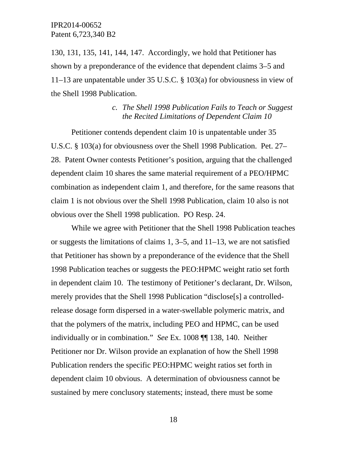130, 131, 135, 141, 144, 147. Accordingly, we hold that Petitioner has shown by a preponderance of the evidence that dependent claims 3–5 and 11–13 are unpatentable under 35 U.S.C. § 103(a) for obviousness in view of the Shell 1998 Publication.

## *c. The Shell 1998 Publication Fails to Teach or Suggest the Recited Limitations of Dependent Claim 10*

Petitioner contends dependent claim 10 is unpatentable under 35 U.S.C. § 103(a) for obviousness over the Shell 1998 Publication. Pet. 27– 28. Patent Owner contests Petitioner's position, arguing that the challenged dependent claim 10 shares the same material requirement of a PEO/HPMC combination as independent claim 1, and therefore, for the same reasons that claim 1 is not obvious over the Shell 1998 Publication, claim 10 also is not obvious over the Shell 1998 publication. PO Resp. 24.

While we agree with Petitioner that the Shell 1998 Publication teaches or suggests the limitations of claims 1, 3–5, and 11–13, we are not satisfied that Petitioner has shown by a preponderance of the evidence that the Shell 1998 Publication teaches or suggests the PEO:HPMC weight ratio set forth in dependent claim 10. The testimony of Petitioner's declarant, Dr. Wilson, merely provides that the Shell 1998 Publication "disclose[s] a controlledrelease dosage form dispersed in a water-swellable polymeric matrix, and that the polymers of the matrix, including PEO and HPMC, can be used individually or in combination." *See* Ex. 1008 ¶¶ 138, 140. Neither Petitioner nor Dr. Wilson provide an explanation of how the Shell 1998 Publication renders the specific PEO:HPMC weight ratios set forth in dependent claim 10 obvious. A determination of obviousness cannot be sustained by mere conclusory statements; instead, there must be some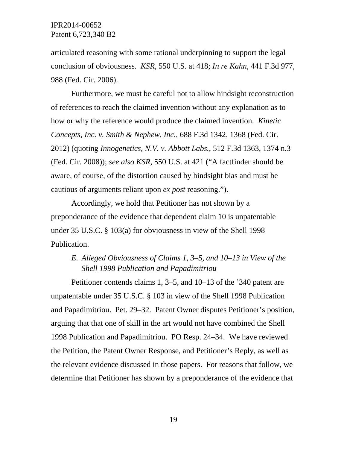articulated reasoning with some rational underpinning to support the legal conclusion of obviousness. *KSR*, 550 U.S. at 418; *In re Kahn*, 441 F.3d 977, 988 (Fed. Cir. 2006).

Furthermore, we must be careful not to allow hindsight reconstruction of references to reach the claimed invention without any explanation as to how or why the reference would produce the claimed invention. *Kinetic Concepts, Inc. v. Smith & Nephew, Inc.*, 688 F.3d 1342, 1368 (Fed. Cir. 2012) (quoting *Innogenetics, N.V. v. Abbott Labs.*, 512 F.3d 1363, 1374 n.3 (Fed. Cir. 2008)); *see also KSR*, 550 U.S. at 421 ("A factfinder should be aware, of course, of the distortion caused by hindsight bias and must be cautious of arguments reliant upon *ex post* reasoning.").

Accordingly, we hold that Petitioner has not shown by a preponderance of the evidence that dependent claim 10 is unpatentable under 35 U.S.C. § 103(a) for obviousness in view of the Shell 1998 Publication.

# *E. Alleged Obviousness of Claims 1, 3–5, and 10–13 in View of the Shell 1998 Publication and Papadimitriou*

Petitioner contends claims 1, 3–5, and 10–13 of the '340 patent are unpatentable under 35 U.S.C. § 103 in view of the Shell 1998 Publication and Papadimitriou. Pet. 29–32. Patent Owner disputes Petitioner's position, arguing that that one of skill in the art would not have combined the Shell 1998 Publication and Papadimitriou. PO Resp. 24–34. We have reviewed the Petition, the Patent Owner Response, and Petitioner's Reply, as well as the relevant evidence discussed in those papers. For reasons that follow, we determine that Petitioner has shown by a preponderance of the evidence that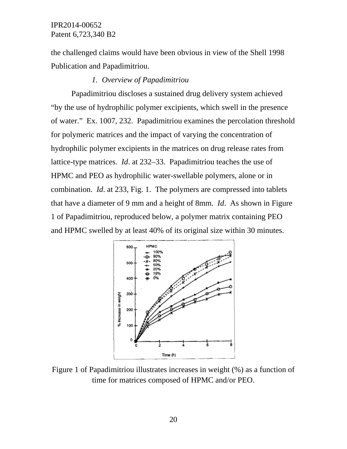the challenged claims would have been obvious in view of the Shell 1998 Publication and Papadimitriou.

### *1. Overview of Papadimitriou*

Papadimitriou discloses a sustained drug delivery system achieved "by the use of hydrophilic polymer excipients, which swell in the presence of water." Ex. 1007, 232. Papadimitriou examines the percolation threshold for polymeric matrices and the impact of varying the concentration of hydrophilic polymer excipients in the matrices on drug release rates from lattice-type matrices. *Id*. at 232–33. Papadimitriou teaches the use of HPMC and PEO as hydrophilic water-swellable polymers, alone or in combination. *Id*. at 233, Fig. 1. The polymers are compressed into tablets that have a diameter of 9 mm and a height of 8mm. *Id*. As shown in Figure 1 of Papadimitriou, reproduced below, a polymer matrix containing PEO and HPMC swelled by at least 40% of its original size within 30 minutes.



Figure 1 of Papadimitriou illustrates increases in weight (%) as a function of time for matrices composed of HPMC and/or PEO.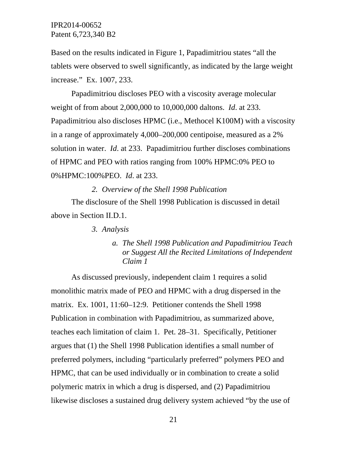Based on the results indicated in Figure 1, Papadimitriou states "all the tablets were observed to swell significantly, as indicated by the large weight increase." Ex. 1007, 233.

Papadimitriou discloses PEO with a viscosity average molecular weight of from about 2,000,000 to 10,000,000 daltons. *Id*. at 233. Papadimitriou also discloses HPMC (i.e., Methocel K100M) with a viscosity in a range of approximately 4,000–200,000 centipoise, measured as a 2% solution in water. *Id*. at 233. Papadimitriou further discloses combinations of HPMC and PEO with ratios ranging from 100% HPMC:0% PEO to 0%HPMC:100%PEO. *Id*. at 233.

*2. Overview of the Shell 1998 Publication*  The disclosure of the Shell 1998 Publication is discussed in detail above in Section II.D.1.

*3. Analysis* 

*a. The Shell 1998 Publication and Papadimitriou Teach or Suggest All the Recited Limitations of Independent Claim 1* 

As discussed previously, independent claim 1 requires a solid monolithic matrix made of PEO and HPMC with a drug dispersed in the matrix. Ex. 1001, 11:60–12:9. Petitioner contends the Shell 1998 Publication in combination with Papadimitriou, as summarized above, teaches each limitation of claim 1. Pet. 28–31. Specifically, Petitioner argues that (1) the Shell 1998 Publication identifies a small number of preferred polymers, including "particularly preferred" polymers PEO and HPMC, that can be used individually or in combination to create a solid polymeric matrix in which a drug is dispersed, and (2) Papadimitriou likewise discloses a sustained drug delivery system achieved "by the use of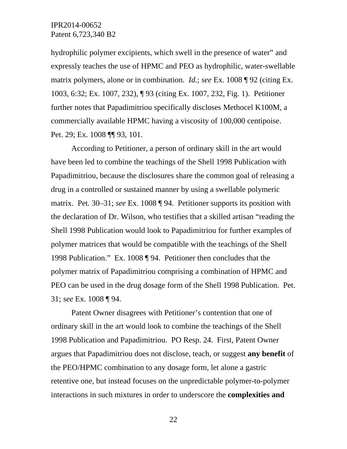hydrophilic polymer excipients, which swell in the presence of water" and expressly teaches the use of HPMC and PEO as hydrophilic, water-swellable matrix polymers, alone or in combination. *Id.*; *see* Ex. 1008 ¶ 92 (citing Ex. 1003, 6:32; Ex. 1007, 232), ¶ 93 (citing Ex. 1007, 232, Fig. 1). Petitioner further notes that Papadimitriou specifically discloses Methocel K100M, a commercially available HPMC having a viscosity of 100,000 centipoise. Pet. 29; Ex. 1008 ¶¶ 93, 101.

According to Petitioner, a person of ordinary skill in the art would have been led to combine the teachings of the Shell 1998 Publication with Papadimitriou, because the disclosures share the common goal of releasing a drug in a controlled or sustained manner by using a swellable polymeric matrix. Pet. 30–31; *see* Ex. 1008 ¶ 94. Petitioner supports its position with the declaration of Dr. Wilson, who testifies that a skilled artisan "reading the Shell 1998 Publication would look to Papadimitriou for further examples of polymer matrices that would be compatible with the teachings of the Shell 1998 Publication." Ex. 1008 ¶ 94. Petitioner then concludes that the polymer matrix of Papadimitriou comprising a combination of HPMC and PEO can be used in the drug dosage form of the Shell 1998 Publication. Pet. 31; *see* Ex. 1008 ¶ 94.

Patent Owner disagrees with Petitioner's contention that one of ordinary skill in the art would look to combine the teachings of the Shell 1998 Publication and Papadimitriou. PO Resp. 24. First, Patent Owner argues that Papadimitriou does not disclose, teach, or suggest **any benefit** of the PEO/HPMC combination to any dosage form, let alone a gastric retentive one, but instead focuses on the unpredictable polymer-to-polymer interactions in such mixtures in order to underscore the **complexities and**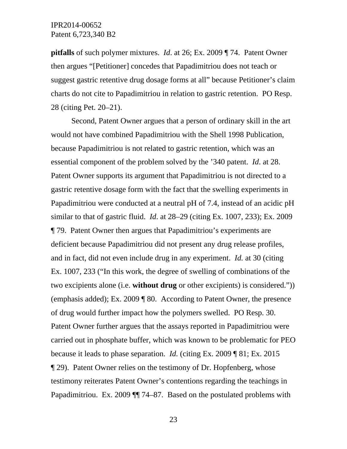**pitfalls** of such polymer mixtures. *Id*. at 26; Ex. 2009 ¶ 74. Patent Owner then argues "[Petitioner] concedes that Papadimitriou does not teach or suggest gastric retentive drug dosage forms at all" because Petitioner's claim charts do not cite to Papadimitriou in relation to gastric retention. PO Resp. 28 (citing Pet. 20–21).

Second, Patent Owner argues that a person of ordinary skill in the art would not have combined Papadimitriou with the Shell 1998 Publication, because Papadimitriou is not related to gastric retention, which was an essential component of the problem solved by the '340 patent. *Id*. at 28. Patent Owner supports its argument that Papadimitriou is not directed to a gastric retentive dosage form with the fact that the swelling experiments in Papadimitriou were conducted at a neutral pH of 7.4, instead of an acidic pH similar to that of gastric fluid. *Id*. at 28–29 (citing Ex. 1007, 233); Ex. 2009 ¶ 79. Patent Owner then argues that Papadimitriou's experiments are deficient because Papadimitriou did not present any drug release profiles, and in fact, did not even include drug in any experiment. *Id.* at 30 (citing Ex. 1007, 233 ("In this work, the degree of swelling of combinations of the two excipients alone (i.e. **without drug** or other excipients) is considered.")) (emphasis added); Ex. 2009 ¶ 80. According to Patent Owner, the presence of drug would further impact how the polymers swelled. PO Resp. 30. Patent Owner further argues that the assays reported in Papadimitriou were carried out in phosphate buffer, which was known to be problematic for PEO because it leads to phase separation. *Id.* (citing Ex. 2009 ¶ 81; Ex. 2015 ¶ 29). Patent Owner relies on the testimony of Dr. Hopfenberg, whose testimony reiterates Patent Owner's contentions regarding the teachings in Papadimitriou. Ex. 2009 ¶¶ 74–87. Based on the postulated problems with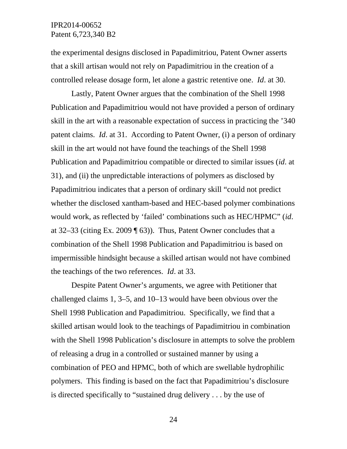the experimental designs disclosed in Papadimitriou, Patent Owner asserts that a skill artisan would not rely on Papadimitriou in the creation of a controlled release dosage form, let alone a gastric retentive one. *Id*. at 30.

Lastly, Patent Owner argues that the combination of the Shell 1998 Publication and Papadimitriou would not have provided a person of ordinary skill in the art with a reasonable expectation of success in practicing the '340 patent claims. *Id*. at 31. According to Patent Owner, (i) a person of ordinary skill in the art would not have found the teachings of the Shell 1998 Publication and Papadimitriou compatible or directed to similar issues (*id*. at 31), and (ii) the unpredictable interactions of polymers as disclosed by Papadimitriou indicates that a person of ordinary skill "could not predict whether the disclosed xantham-based and HEC-based polymer combinations would work, as reflected by 'failed' combinations such as HEC/HPMC" (*id*. at 32–33 (citing Ex. 2009 ¶ 63)). Thus, Patent Owner concludes that a combination of the Shell 1998 Publication and Papadimitriou is based on impermissible hindsight because a skilled artisan would not have combined the teachings of the two references. *Id*. at 33.

Despite Patent Owner's arguments, we agree with Petitioner that challenged claims 1, 3–5, and 10–13 would have been obvious over the Shell 1998 Publication and Papadimitriou. Specifically, we find that a skilled artisan would look to the teachings of Papadimitriou in combination with the Shell 1998 Publication's disclosure in attempts to solve the problem of releasing a drug in a controlled or sustained manner by using a combination of PEO and HPMC, both of which are swellable hydrophilic polymers. This finding is based on the fact that Papadimitriou's disclosure is directed specifically to "sustained drug delivery . . . by the use of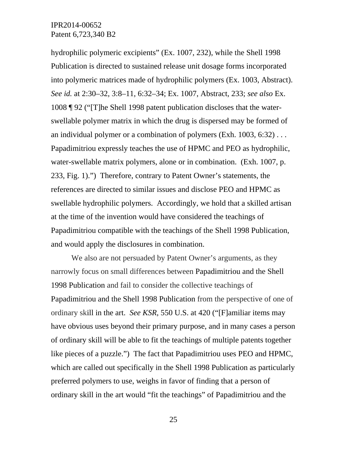hydrophilic polymeric excipients" (Ex. 1007, 232), while the Shell 1998 Publication is directed to sustained release unit dosage forms incorporated into polymeric matrices made of hydrophilic polymers (Ex. 1003, Abstract). *See id.* at 2:30–32, 3:8–11, 6:32–34; Ex. 1007, Abstract, 233; *see also* Ex. 1008 ¶ 92 ("[T]he Shell 1998 patent publication discloses that the waterswellable polymer matrix in which the drug is dispersed may be formed of an individual polymer or a combination of polymers (Exh.  $1003, 6:32$ )... Papadimitriou expressly teaches the use of HPMC and PEO as hydrophilic, water-swellable matrix polymers, alone or in combination. (Exh. 1007, p. 233, Fig. 1).") Therefore, contrary to Patent Owner's statements, the references are directed to similar issues and disclose PEO and HPMC as swellable hydrophilic polymers. Accordingly, we hold that a skilled artisan at the time of the invention would have considered the teachings of Papadimitriou compatible with the teachings of the Shell 1998 Publication, and would apply the disclosures in combination.

We also are not persuaded by Patent Owner's arguments, as they narrowly focus on small differences between Papadimitriou and the Shell 1998 Publication and fail to consider the collective teachings of Papadimitriou and the Shell 1998 Publication from the perspective of one of ordinary skill in the art. *See KSR*, 550 U.S. at 420 ("[F]amiliar items may have obvious uses beyond their primary purpose, and in many cases a person of ordinary skill will be able to fit the teachings of multiple patents together like pieces of a puzzle.") The fact that Papadimitriou uses PEO and HPMC, which are called out specifically in the Shell 1998 Publication as particularly preferred polymers to use, weighs in favor of finding that a person of ordinary skill in the art would "fit the teachings" of Papadimitriou and the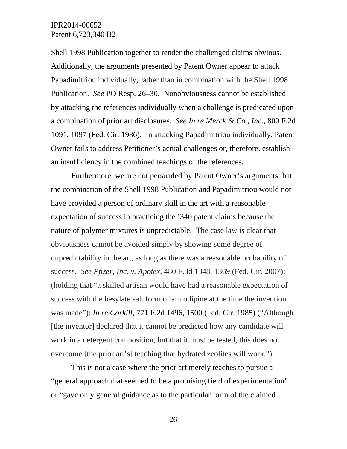Shell 1998 Publication together to render the challenged claims obvious. Additionally, the arguments presented by Patent Owner appear to attack Papadimitriou individually, rather than in combination with the Shell 1998 Publication. *See* PO Resp. 26–30. Nonobviousness cannot be established by attacking the references individually when a challenge is predicated upon a combination of prior art disclosures. *See In re Merck & Co., Inc.,* 800 F.2d 1091, 1097 (Fed. Cir. 1986). In attacking Papadimitriou individually, Patent Owner fails to address Petitioner's actual challenges or, therefore, establish an insufficiency in the combined teachings of the references.

Furthermore, we are not persuaded by Patent Owner's arguments that the combination of the Shell 1998 Publication and Papadimitriou would not have provided a person of ordinary skill in the art with a reasonable expectation of success in practicing the '340 patent claims because the nature of polymer mixtures is unpredictable. The case law is clear that obviousness cannot be avoided simply by showing some degree of unpredictability in the art, as long as there was a reasonable probability of success. *See Pfizer, Inc. v. Apotex*, 480 F.3d 1348, 1369 (Fed. Cir. 2007); (holding that "a skilled artisan would have had a reasonable expectation of success with the besylate salt form of amlodipine at the time the invention was made"); *In re Corkill*, 771 F.2d 1496, 1500 (Fed. Cir. 1985) ("Although [the inventor] declared that it cannot be predicted how any candidate will work in a detergent composition, but that it must be tested, this does not overcome [the prior art's] teaching that hydrated zeolites will work.").

This is not a case where the prior art merely teaches to pursue a "general approach that seemed to be a promising field of experimentation" or "gave only general guidance as to the particular form of the claimed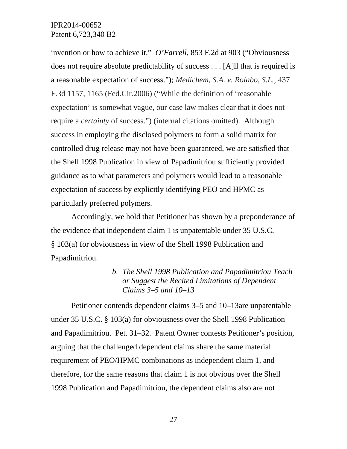invention or how to achieve it." *O'Farrell,* 853 F.2d at 903 ("Obviousness does not require absolute predictability of success . . . [A]ll that is required is a reasonable expectation of success."); *Medichem, S.A. v. Rolabo, S.L.,* 437 F.3d 1157, 1165 (Fed.Cir.2006) ("While the definition of 'reasonable expectation' is somewhat vague, our case law makes clear that it does not require a *certainty* of success.") (internal citations omitted). Although success in employing the disclosed polymers to form a solid matrix for controlled drug release may not have been guaranteed, we are satisfied that the Shell 1998 Publication in view of Papadimitriou sufficiently provided guidance as to what parameters and polymers would lead to a reasonable expectation of success by explicitly identifying PEO and HPMC as particularly preferred polymers.

Accordingly, we hold that Petitioner has shown by a preponderance of the evidence that independent claim 1 is unpatentable under 35 U.S.C. § 103(a) for obviousness in view of the Shell 1998 Publication and Papadimitriou.

> *b. The Shell 1998 Publication and Papadimitriou Teach or Suggest the Recited Limitations of Dependent Claims 3–5 and 10–13*

Petitioner contends dependent claims 3–5 and 10–13are unpatentable under 35 U.S.C. § 103(a) for obviousness over the Shell 1998 Publication and Papadimitriou. Pet. 31–32. Patent Owner contests Petitioner's position, arguing that the challenged dependent claims share the same material requirement of PEO/HPMC combinations as independent claim 1, and therefore, for the same reasons that claim 1 is not obvious over the Shell 1998 Publication and Papadimitriou, the dependent claims also are not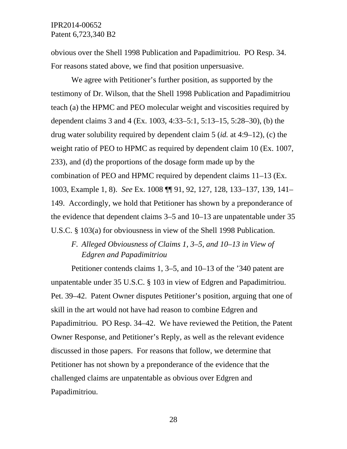obvious over the Shell 1998 Publication and Papadimitriou. PO Resp. 34. For reasons stated above, we find that position unpersuasive.

We agree with Petitioner's further position, as supported by the testimony of Dr. Wilson, that the Shell 1998 Publication and Papadimitriou teach (a) the HPMC and PEO molecular weight and viscosities required by dependent claims 3 and 4 (Ex. 1003, 4:33–5:1, 5:13–15, 5:28–30), (b) the drug water solubility required by dependent claim 5 (*id.* at 4:9–12), (c) the weight ratio of PEO to HPMC as required by dependent claim 10 (Ex. 1007, 233), and (d) the proportions of the dosage form made up by the combination of PEO and HPMC required by dependent claims 11–13 (Ex. 1003, Example 1, 8). *See* Ex. 1008 ¶¶ 91, 92, 127, 128, 133–137, 139, 141– 149. Accordingly, we hold that Petitioner has shown by a preponderance of the evidence that dependent claims 3–5 and 10–13 are unpatentable under 35 U.S.C. § 103(a) for obviousness in view of the Shell 1998 Publication.

# *F. Alleged Obviousness of Claims 1, 3–5, and 10–13 in View of Edgren and Papadimitriou*

Petitioner contends claims 1, 3–5, and 10–13 of the '340 patent are unpatentable under 35 U.S.C. § 103 in view of Edgren and Papadimitriou. Pet. 39–42. Patent Owner disputes Petitioner's position, arguing that one of skill in the art would not have had reason to combine Edgren and Papadimitriou. PO Resp. 34–42. We have reviewed the Petition, the Patent Owner Response, and Petitioner's Reply, as well as the relevant evidence discussed in those papers. For reasons that follow, we determine that Petitioner has not shown by a preponderance of the evidence that the challenged claims are unpatentable as obvious over Edgren and Papadimitriou.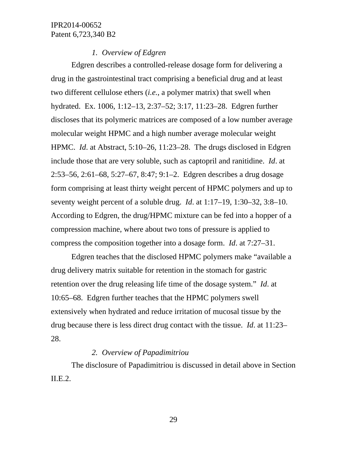### *1. Overview of Edgren*

Edgren describes a controlled-release dosage form for delivering a drug in the gastrointestinal tract comprising a beneficial drug and at least two different cellulose ethers (*i.e.*, a polymer matrix) that swell when hydrated. Ex. 1006, 1:12–13, 2:37–52; 3:17, 11:23–28. Edgren further discloses that its polymeric matrices are composed of a low number average molecular weight HPMC and a high number average molecular weight HPMC. *Id*. at Abstract, 5:10–26, 11:23–28. The drugs disclosed in Edgren include those that are very soluble, such as captopril and ranitidine. *Id*. at 2:53–56, 2:61–68, 5:27–67, 8:47; 9:1–2. Edgren describes a drug dosage form comprising at least thirty weight percent of HPMC polymers and up to seventy weight percent of a soluble drug. *Id*. at 1:17–19, 1:30–32, 3:8–10. According to Edgren, the drug/HPMC mixture can be fed into a hopper of a compression machine, where about two tons of pressure is applied to compress the composition together into a dosage form. *Id*. at 7:27–31.

Edgren teaches that the disclosed HPMC polymers make "available a drug delivery matrix suitable for retention in the stomach for gastric retention over the drug releasing life time of the dosage system." *Id*. at 10:65–68. Edgren further teaches that the HPMC polymers swell extensively when hydrated and reduce irritation of mucosal tissue by the drug because there is less direct drug contact with the tissue. *Id*. at 11:23– 28.

### *2. Overview of Papadimitriou*

The disclosure of Papadimitriou is discussed in detail above in Section II.E.2.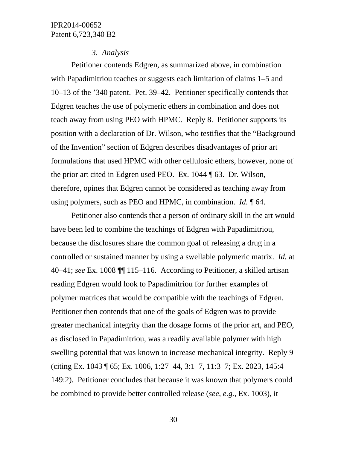#### *3. Analysis*

Petitioner contends Edgren, as summarized above, in combination with Papadimitriou teaches or suggests each limitation of claims 1–5 and 10–13 of the '340 patent. Pet. 39–42. Petitioner specifically contends that Edgren teaches the use of polymeric ethers in combination and does not teach away from using PEO with HPMC. Reply 8. Petitioner supports its position with a declaration of Dr. Wilson, who testifies that the "Background of the Invention" section of Edgren describes disadvantages of prior art formulations that used HPMC with other cellulosic ethers, however, none of the prior art cited in Edgren used PEO. Ex. 1044 ¶ 63. Dr. Wilson, therefore, opines that Edgren cannot be considered as teaching away from using polymers, such as PEO and HPMC, in combination. *Id.* ¶ 64.

Petitioner also contends that a person of ordinary skill in the art would have been led to combine the teachings of Edgren with Papadimitriou, because the disclosures share the common goal of releasing a drug in a controlled or sustained manner by using a swellable polymeric matrix. *Id.* at 40–41; *see* Ex. 1008 ¶¶ 115–116. According to Petitioner, a skilled artisan reading Edgren would look to Papadimitriou for further examples of polymer matrices that would be compatible with the teachings of Edgren. Petitioner then contends that one of the goals of Edgren was to provide greater mechanical integrity than the dosage forms of the prior art, and PEO, as disclosed in Papadimitriou, was a readily available polymer with high swelling potential that was known to increase mechanical integrity. Reply 9 (citing Ex. 1043 ¶ 65; Ex. 1006, 1:27–44, 3:1–7, 11:3–7; Ex. 2023, 145:4– 149:2). Petitioner concludes that because it was known that polymers could be combined to provide better controlled release (*see*, *e.g.*, Ex. 1003), it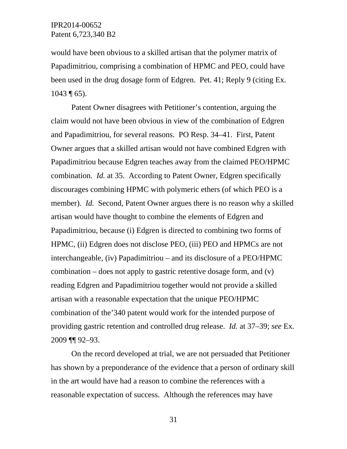would have been obvious to a skilled artisan that the polymer matrix of Papadimitriou, comprising a combination of HPMC and PEO, could have been used in the drug dosage form of Edgren. Pet. 41; Reply 9 (citing Ex.  $1043 \text{ } \text{\textdegree$\overline{1}$}$  65).

Patent Owner disagrees with Petitioner's contention, arguing the claim would not have been obvious in view of the combination of Edgren and Papadimitriou, for several reasons. PO Resp. 34–41. First, Patent Owner argues that a skilled artisan would not have combined Edgren with Papadimitriou because Edgren teaches away from the claimed PEO/HPMC combination. *Id.* at 35. According to Patent Owner, Edgren specifically discourages combining HPMC with polymeric ethers (of which PEO is a member). *Id.* Second, Patent Owner argues there is no reason why a skilled artisan would have thought to combine the elements of Edgren and Papadimitriou, because (i) Edgren is directed to combining two forms of HPMC, (ii) Edgren does not disclose PEO, (iii) PEO and HPMCs are not interchangeable, (iv) Papadimitriou – and its disclosure of a PEO/HPMC combination – does not apply to gastric retentive dosage form, and (v) reading Edgren and Papadimitriou together would not provide a skilled artisan with a reasonable expectation that the unique PEO/HPMC combination of the'340 patent would work for the intended purpose of providing gastric retention and controlled drug release. *Id.* at 37–39; *see* Ex. 2009 ¶¶ 92–93.

On the record developed at trial, we are not persuaded that Petitioner has shown by a preponderance of the evidence that a person of ordinary skill in the art would have had a reason to combine the references with a reasonable expectation of success. Although the references may have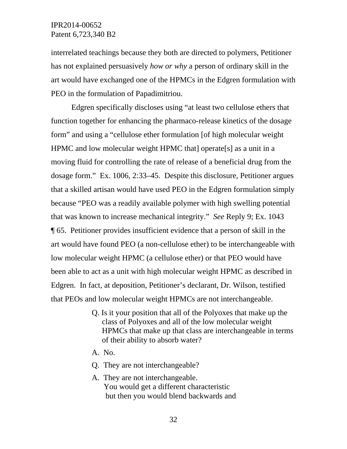interrelated teachings because they both are directed to polymers, Petitioner has not explained persuasively *how or why* a person of ordinary skill in the art would have exchanged one of the HPMCs in the Edgren formulation with PEO in the formulation of Papadimitriou.

Edgren specifically discloses using "at least two cellulose ethers that function together for enhancing the pharmaco-release kinetics of the dosage form" and using a "cellulose ether formulation [of high molecular weight HPMC and low molecular weight HPMC that operate [s] as a unit in a moving fluid for controlling the rate of release of a beneficial drug from the dosage form." Ex. 1006, 2:33–45. Despite this disclosure, Petitioner argues that a skilled artisan would have used PEO in the Edgren formulation simply because "PEO was a readily available polymer with high swelling potential that was known to increase mechanical integrity." *See* Reply 9; Ex. 1043 ¶ 65. Petitioner provides insufficient evidence that a person of skill in the art would have found PEO (a non-cellulose ether) to be interchangeable with low molecular weight HPMC (a cellulose ether) or that PEO would have been able to act as a unit with high molecular weight HPMC as described in Edgren. In fact, at deposition, Petitioner's declarant, Dr. Wilson, testified that PEOs and low molecular weight HPMCs are not interchangeable.

- Q. Is it your position that all of the Polyoxes that make up the class of Polyoxes and all of the low molecular weight HPMCs that make up that class are interchangeable in terms of their ability to absorb water?
- A. No.
- Q. They are not interchangeable?
- A. They are not interchangeable. You would get a different characteristic but then you would blend backwards and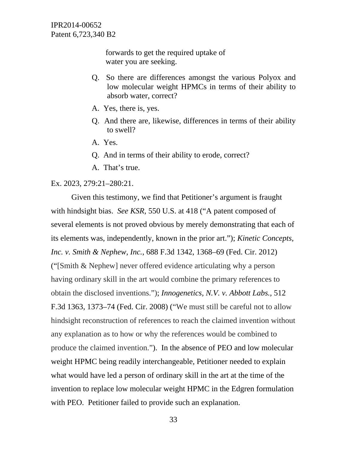> forwards to get the required uptake of water you are seeking.

- Q. So there are differences amongst the various Polyox and low molecular weight HPMCs in terms of their ability to absorb water, correct?
- A. Yes, there is, yes.
- Q. And there are, likewise, differences in terms of their ability to swell?
- A. Yes.
- Q. And in terms of their ability to erode, correct?
- A. That's true.

#### Ex. 2023, 279:21–280:21.

Given this testimony, we find that Petitioner's argument is fraught with hindsight bias. *See KSR*, 550 U.S. at 418 ("A patent composed of several elements is not proved obvious by merely demonstrating that each of its elements was, independently, known in the prior art."); *Kinetic Concepts, Inc. v. Smith & Nephew, Inc.*, 688 F.3d 1342, 1368–69 (Fed. Cir. 2012) ("[Smith & Nephew] never offered evidence articulating why a person having ordinary skill in the art would combine the primary references to obtain the disclosed inventions."); *Innogenetics, N.V. v. Abbott Labs.,* 512 F.3d 1363, 1373–74 (Fed. Cir. 2008) ("We must still be careful not to allow hindsight reconstruction of references to reach the claimed invention without any explanation as to how or why the references would be combined to produce the claimed invention."). In the absence of PEO and low molecular weight HPMC being readily interchangeable, Petitioner needed to explain what would have led a person of ordinary skill in the art at the time of the invention to replace low molecular weight HPMC in the Edgren formulation with PEO. Petitioner failed to provide such an explanation.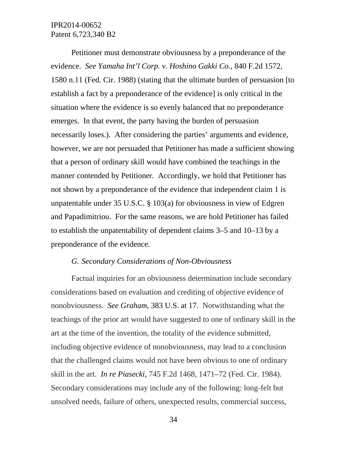Petitioner must demonstrate obviousness by a preponderance of the evidence. *See Yamaha Int'l Corp. v. Hoshino Gakki Co.*, 840 F.2d 1572, 1580 n.11 (Fed. Cir. 1988) (stating that the ultimate burden of persuasion [to establish a fact by a preponderance of the evidence] is only critical in the situation where the evidence is so evenly balanced that no preponderance emerges. In that event, the party having the burden of persuasion necessarily loses.). After considering the parties' arguments and evidence, however, we are not persuaded that Petitioner has made a sufficient showing that a person of ordinary skill would have combined the teachings in the manner contended by Petitioner. Accordingly, we hold that Petitioner has not shown by a preponderance of the evidence that independent claim 1 is unpatentable under 35 U.S.C. § 103(a) for obviousness in view of Edgren and Papadimitriou. For the same reasons, we are hold Petitioner has failed to establish the unpatentability of dependent claims 3–5 and 10–13 by a preponderance of the evidence.

## *G. Secondary Considerations of Non-Obviousness*

Factual inquiries for an obviousness determination include secondary considerations based on evaluation and crediting of objective evidence of nonobviousness. *See Graham*, 383 U.S. at 17. Notwithstanding what the teachings of the prior art would have suggested to one of ordinary skill in the art at the time of the invention, the totality of the evidence submitted, including objective evidence of nonobviousness, may lead to a conclusion that the challenged claims would not have been obvious to one of ordinary skill in the art. *In re Piasecki*, 745 F.2d 1468, 1471–72 (Fed. Cir. 1984). Secondary considerations may include any of the following: long-felt but unsolved needs, failure of others, unexpected results, commercial success,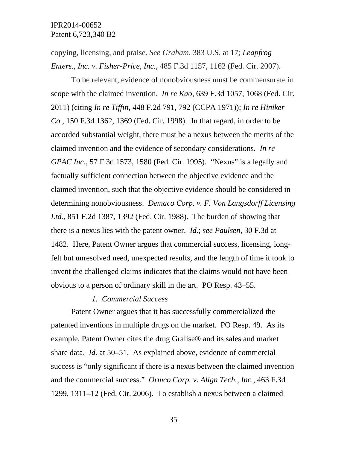copying, licensing, and praise. *See Graham*, 383 U.S. at 17; *Leapfrog Enters., Inc. v. Fisher-Price, Inc.*, 485 F.3d 1157, 1162 (Fed. Cir. 2007).

To be relevant, evidence of nonobviousness must be commensurate in scope with the claimed invention. *In re Kao*, 639 F.3d 1057, 1068 (Fed. Cir. 2011) (citing *In re Tiffin*, 448 F.2d 791, 792 (CCPA 1971)); *In re Hiniker Co.*, 150 F.3d 1362, 1369 (Fed. Cir. 1998). In that regard, in order to be accorded substantial weight, there must be a nexus between the merits of the claimed invention and the evidence of secondary considerations. *In re GPAC Inc*., 57 F.3d 1573, 1580 (Fed. Cir. 1995). "Nexus" is a legally and factually sufficient connection between the objective evidence and the claimed invention, such that the objective evidence should be considered in determining nonobviousness. *Demaco Corp. v. F. Von Langsdorff Licensing Ltd.*, 851 F.2d 1387, 1392 (Fed. Cir. 1988). The burden of showing that there is a nexus lies with the patent owner. *Id*.; *see Paulsen*, 30 F.3d at 1482. Here, Patent Owner argues that commercial success, licensing, longfelt but unresolved need, unexpected results, and the length of time it took to invent the challenged claims indicates that the claims would not have been obvious to a person of ordinary skill in the art. PO Resp. 43–55.

# *1. Commercial Success*

Patent Owner argues that it has successfully commercialized the patented inventions in multiple drugs on the market. PO Resp. 49. As its example, Patent Owner cites the drug Gralise® and its sales and market share data. *Id.* at 50–51. As explained above, evidence of commercial success is "only significant if there is a nexus between the claimed invention and the commercial success." *Ormco Corp. v. Align Tech., Inc.*, 463 F.3d 1299, 1311–12 (Fed. Cir. 2006). To establish a nexus between a claimed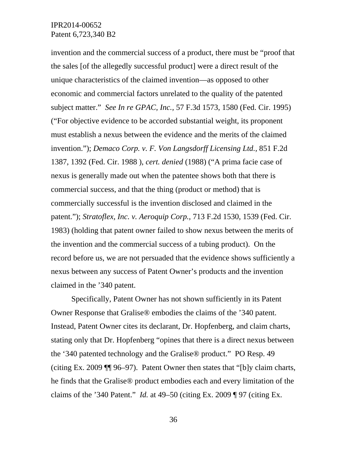invention and the commercial success of a product, there must be "proof that the sales [of the allegedly successful product] were a direct result of the unique characteristics of the claimed invention—as opposed to other economic and commercial factors unrelated to the quality of the patented subject matter." *See In re GPAC, Inc.,* 57 F.3d 1573, 1580 (Fed. Cir. 1995) ("For objective evidence to be accorded substantial weight, its proponent must establish a nexus between the evidence and the merits of the claimed invention."); *Demaco Corp. v. F. Von Langsdorff Licensing Ltd.,* 851 F.2d 1387, 1392 (Fed. Cir. 1988 ), *cert. denied* (1988) ("A prima facie case of nexus is generally made out when the patentee shows both that there is commercial success, and that the thing (product or method) that is commercially successful is the invention disclosed and claimed in the patent."); *Stratoflex, Inc. v. Aeroquip Corp.,* 713 F.2d 1530, 1539 (Fed. Cir. 1983) (holding that patent owner failed to show nexus between the merits of the invention and the commercial success of a tubing product). On the record before us, we are not persuaded that the evidence shows sufficiently a nexus between any success of Patent Owner's products and the invention claimed in the '340 patent.

Specifically, Patent Owner has not shown sufficiently in its Patent Owner Response that Gralise® embodies the claims of the '340 patent. Instead, Patent Owner cites its declarant, Dr. Hopfenberg, and claim charts, stating only that Dr. Hopfenberg "opines that there is a direct nexus between the '340 patented technology and the Gralise® product." PO Resp. 49 (citing Ex. 2009 ¶¶ 96–97). Patent Owner then states that "[b]y claim charts, he finds that the Gralise® product embodies each and every limitation of the claims of the '340 Patent." *Id.* at 49–50 (citing Ex. 2009 ¶ 97 (citing Ex.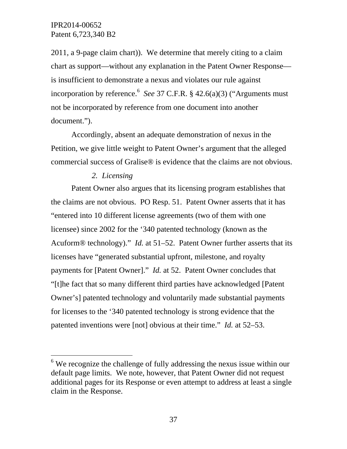l

2011, a 9-page claim chart)). We determine that merely citing to a claim chart as support—without any explanation in the Patent Owner Response is insufficient to demonstrate a nexus and violates our rule against incorporation by reference.<sup>6</sup> See 37 C.F.R.  $\S$  42.6(a)(3) ("Arguments must not be incorporated by reference from one document into another document.").

Accordingly, absent an adequate demonstration of nexus in the Petition, we give little weight to Patent Owner's argument that the alleged commercial success of Gralise® is evidence that the claims are not obvious.

# *2. Licensing*

Patent Owner also argues that its licensing program establishes that the claims are not obvious. PO Resp. 51. Patent Owner asserts that it has "entered into 10 different license agreements (two of them with one licensee) since 2002 for the '340 patented technology (known as the Acuform® technology)." *Id.* at 51–52. Patent Owner further asserts that its licenses have "generated substantial upfront, milestone, and royalty payments for [Patent Owner]." *Id.* at 52. Patent Owner concludes that "[t]he fact that so many different third parties have acknowledged [Patent Owner's] patented technology and voluntarily made substantial payments for licenses to the '340 patented technology is strong evidence that the patented inventions were [not] obvious at their time." *Id.* at 52–53.

 $6$  We recognize the challenge of fully addressing the nexus issue within our default page limits. We note, however, that Patent Owner did not request additional pages for its Response or even attempt to address at least a single claim in the Response.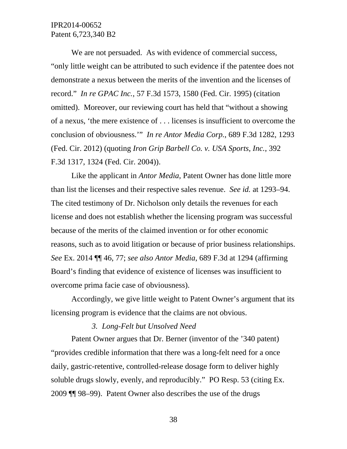We are not persuaded. As with evidence of commercial success, "only little weight can be attributed to such evidence if the patentee does not demonstrate a nexus between the merits of the invention and the licenses of record." *In re GPAC Inc.*, 57 F.3d 1573, 1580 (Fed. Cir. 1995) (citation omitted). Moreover, our reviewing court has held that "without a showing of a nexus, 'the mere existence of . . . licenses is insufficient to overcome the conclusion of obviousness.'" *In re Antor Media Corp.*, 689 F.3d 1282, 1293 (Fed. Cir. 2012) (quoting *Iron Grip Barbell Co. v. USA Sports, Inc.*, 392 F.3d 1317, 1324 (Fed. Cir. 2004)).

Like the applicant in *Antor Media*, Patent Owner has done little more than list the licenses and their respective sales revenue. *See id.* at 1293–94. The cited testimony of Dr. Nicholson only details the revenues for each license and does not establish whether the licensing program was successful because of the merits of the claimed invention or for other economic reasons, such as to avoid litigation or because of prior business relationships. *See* Ex. 2014 ¶¶ 46, 77; *see also Antor Media*, 689 F.3d at 1294 (affirming Board's finding that evidence of existence of licenses was insufficient to overcome prima facie case of obviousness).

Accordingly, we give little weight to Patent Owner's argument that its licensing program is evidence that the claims are not obvious.

#### *3. Long-Felt but Unsolved Need*

Patent Owner argues that Dr. Berner (inventor of the '340 patent) "provides credible information that there was a long-felt need for a once daily, gastric-retentive, controlled-release dosage form to deliver highly soluble drugs slowly, evenly, and reproducibly." PO Resp. 53 (citing Ex. 2009 ¶¶ 98–99). Patent Owner also describes the use of the drugs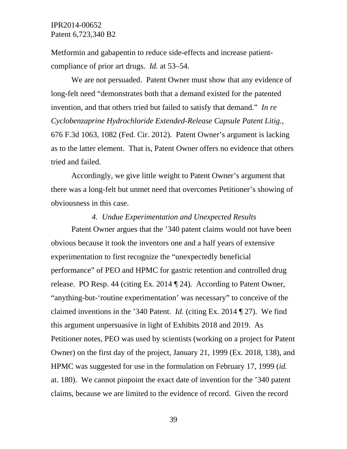Metformin and gabapentin to reduce side-effects and increase patientcompliance of prior art drugs. *Id.* at 53–54.

We are not persuaded. Patent Owner must show that any evidence of long-felt need "demonstrates both that a demand existed for the patented invention, and that others tried but failed to satisfy that demand." *In re Cyclobenzaprine Hydrochloride Extended-Release Capsule Patent Litig.*, 676 F.3d 1063, 1082 (Fed. Cir. 2012). Patent Owner's argument is lacking as to the latter element. That is, Patent Owner offers no evidence that others tried and failed.

Accordingly, we give little weight to Patent Owner's argument that there was a long-felt but unmet need that overcomes Petitioner's showing of obviousness in this case.

#### *4. Undue Experimentation and Unexpected Results*

Patent Owner argues that the '340 patent claims would not have been obvious because it took the inventors one and a half years of extensive experimentation to first recognize the "unexpectedly beneficial performance" of PEO and HPMC for gastric retention and controlled drug release. PO Resp. 44 (citing Ex. 2014 ¶ 24). According to Patent Owner, "anything-but-'routine experimentation' was necessary" to conceive of the claimed inventions in the '340 Patent. *Id.* (citing Ex. 2014 ¶ 27). We find this argument unpersuasive in light of Exhibits 2018 and 2019. As Petitioner notes, PEO was used by scientists (working on a project for Patent Owner) on the first day of the project, January 21, 1999 (Ex. 2018, 138), and HPMC was suggested for use in the formulation on February 17, 1999 (*id.* at. 180). We cannot pinpoint the exact date of invention for the '340 patent claims, because we are limited to the evidence of record. Given the record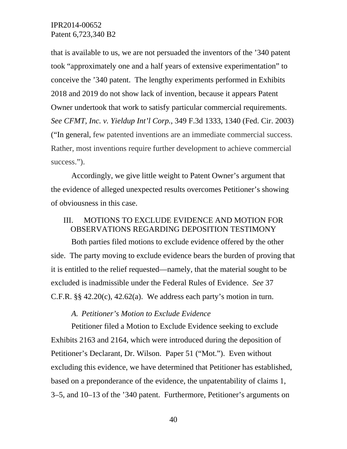that is available to us, we are not persuaded the inventors of the '340 patent took "approximately one and a half years of extensive experimentation" to conceive the '340 patent. The lengthy experiments performed in Exhibits 2018 and 2019 do not show lack of invention, because it appears Patent Owner undertook that work to satisfy particular commercial requirements. *See CFMT, Inc. v. Yieldup Int'l Corp.*, 349 F.3d 1333, 1340 (Fed. Cir. 2003) ("In general, few patented inventions are an immediate commercial success. Rather, most inventions require further development to achieve commercial success.").

Accordingly, we give little weight to Patent Owner's argument that the evidence of alleged unexpected results overcomes Petitioner's showing of obviousness in this case.

# III. MOTIONS TO EXCLUDE EVIDENCE AND MOTION FOR OBSERVATIONS REGARDING DEPOSITION TESTIMONY

Both parties filed motions to exclude evidence offered by the other side. The party moving to exclude evidence bears the burden of proving that it is entitled to the relief requested—namely, that the material sought to be excluded is inadmissible under the Federal Rules of Evidence. *See* 37 C.F.R.  $\S$ § 42.20(c), 42.62(a). We address each party's motion in turn.

### *A. Petitioner's Motion to Exclude Evidence*

Petitioner filed a Motion to Exclude Evidence seeking to exclude Exhibits 2163 and 2164, which were introduced during the deposition of Petitioner's Declarant, Dr. Wilson. Paper 51 ("Mot."). Even without excluding this evidence, we have determined that Petitioner has established, based on a preponderance of the evidence, the unpatentability of claims 1, 3–5, and 10–13 of the '340 patent. Furthermore, Petitioner's arguments on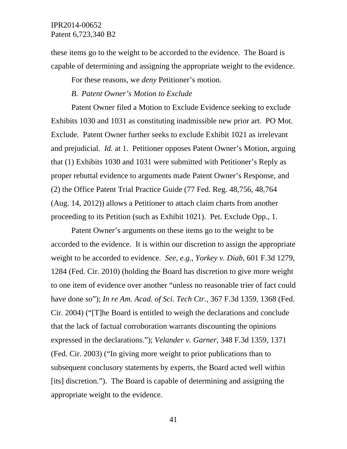these items go to the weight to be accorded to the evidence. The Board is capable of determining and assigning the appropriate weight to the evidence.

For these reasons, we *deny* Petitioner's motion.

### *B. Patent Owner's Motion to Exclude*

Patent Owner filed a Motion to Exclude Evidence seeking to exclude Exhibits 1030 and 1031 as constituting inadmissible new prior art. PO Mot. Exclude. Patent Owner further seeks to exclude Exhibit 1021 as irrelevant and prejudicial. *Id.* at 1. Petitioner opposes Patent Owner's Motion, arguing that (1) Exhibits 1030 and 1031 were submitted with Petitioner's Reply as proper rebuttal evidence to arguments made Patent Owner's Response, and (2) the Office Patent Trial Practice Guide (77 Fed. Reg. 48,756, 48,764 (Aug. 14, 2012)) allows a Petitioner to attach claim charts from another proceeding to its Petition (such as Exhibit 1021). Pet. Exclude Opp., 1.

Patent Owner's arguments on these items go to the weight to be accorded to the evidence. It is within our discretion to assign the appropriate weight to be accorded to evidence. *See, e.g.*, *Yorkey v. Diab*, 601 F.3d 1279, 1284 (Fed. Cir. 2010) (holding the Board has discretion to give more weight to one item of evidence over another "unless no reasonable trier of fact could have done so"); *In re Am. Acad. of Sci. Tech Ctr.*, 367 F.3d 1359, 1368 (Fed. Cir. 2004) ("[T]he Board is entitled to weigh the declarations and conclude that the lack of factual corroboration warrants discounting the opinions expressed in the declarations."); *Velander v. Garner*, 348 F.3d 1359, 1371 (Fed. Cir. 2003) ("In giving more weight to prior publications than to subsequent conclusory statements by experts, the Board acted well within [its] discretion."). The Board is capable of determining and assigning the appropriate weight to the evidence.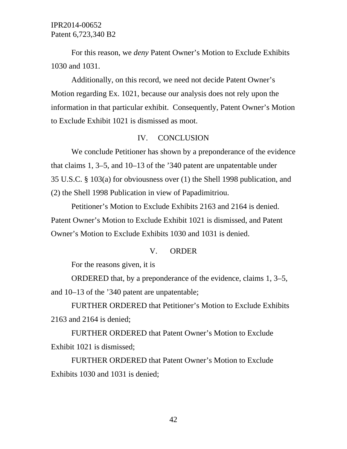For this reason, we *deny* Patent Owner's Motion to Exclude Exhibits 1030 and 1031.

Additionally, on this record, we need not decide Patent Owner's Motion regarding Ex. 1021, because our analysis does not rely upon the information in that particular exhibit. Consequently, Patent Owner's Motion to Exclude Exhibit 1021 is dismissed as moot.

### IV. CONCLUSION

We conclude Petitioner has shown by a preponderance of the evidence that claims 1, 3–5, and 10–13 of the '340 patent are unpatentable under 35 U.S.C. § 103(a) for obviousness over (1) the Shell 1998 publication, and (2) the Shell 1998 Publication in view of Papadimitriou.

Petitioner's Motion to Exclude Exhibits 2163 and 2164 is denied. Patent Owner's Motion to Exclude Exhibit 1021 is dismissed, and Patent Owner's Motion to Exclude Exhibits 1030 and 1031 is denied.

### V. ORDER

For the reasons given, it is

ORDERED that, by a preponderance of the evidence, claims 1, 3–5, and 10–13 of the '340 patent are unpatentable;

FURTHER ORDERED that Petitioner's Motion to Exclude Exhibits 2163 and 2164 is denied;

FURTHER ORDERED that Patent Owner's Motion to Exclude Exhibit 1021 is dismissed;

FURTHER ORDERED that Patent Owner's Motion to Exclude Exhibits 1030 and 1031 is denied;